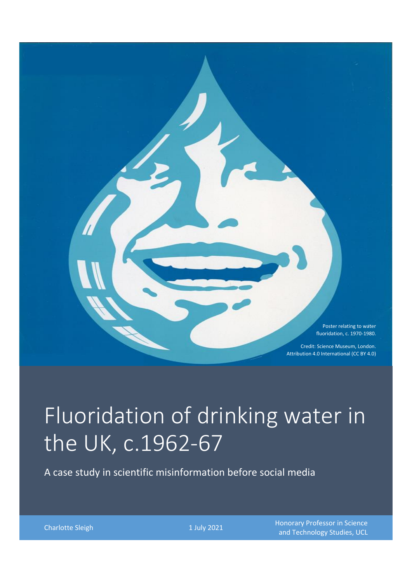Poster relating to water fluoridation, c. 1970-1980.

Credit: Science Museum, London. Attribution 4.0 International (CC BY 4.0)

# Fluoridation of drinking water in the UK, c.1962-67

A case study in scientific misinformation before social media

Charlotte Sleigh **1 July 2021** Honorary Professor in Science **Charlotte Sleigh** (Charlotte Sleigh 1 July 2021 and Technology Studies, UCL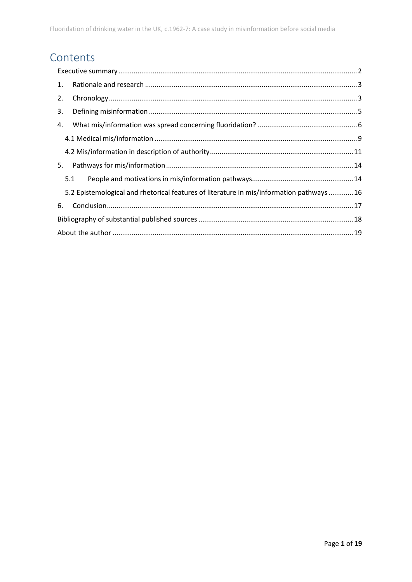## Contents

| 1.                                                                                      |     |  |  |
|-----------------------------------------------------------------------------------------|-----|--|--|
| 2.                                                                                      |     |  |  |
| 3.                                                                                      |     |  |  |
| 4.                                                                                      |     |  |  |
|                                                                                         |     |  |  |
|                                                                                         |     |  |  |
| 5.                                                                                      |     |  |  |
|                                                                                         | 5.1 |  |  |
| 5.2 Epistemological and rhetorical features of literature in mis/information pathways16 |     |  |  |
| 6.                                                                                      |     |  |  |
|                                                                                         |     |  |  |
|                                                                                         |     |  |  |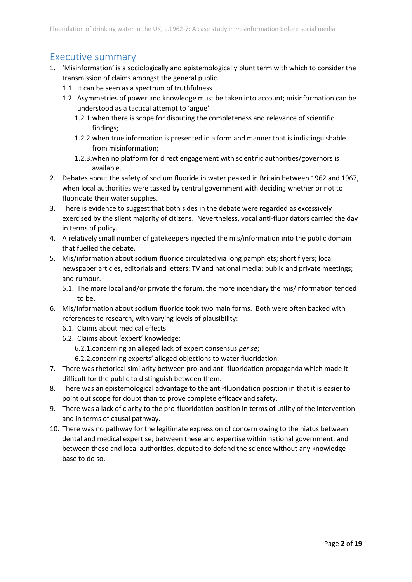## <span id="page-2-0"></span>Executive summary

- 1. 'Misinformation' is a sociologically and epistemologically blunt term with which to consider the transmission of claims amongst the general public.
	- 1.1. It can be seen as a spectrum of truthfulness.
	- 1.2. Asymmetries of power and knowledge must be taken into account; misinformation can be understood as a tactical attempt to 'argue'
		- 1.2.1.when there is scope for disputing the completeness and relevance of scientific findings;
		- 1.2.2.when true information is presented in a form and manner that is indistinguishable from misinformation;
		- 1.2.3.when no platform for direct engagement with scientific authorities/governors is available.
- 2. Debates about the safety of sodium fluoride in water peaked in Britain between 1962 and 1967, when local authorities were tasked by central government with deciding whether or not to fluoridate their water supplies.
- 3. There is evidence to suggest that both sides in the debate were regarded as excessively exercised by the silent majority of citizens. Nevertheless, vocal anti-fluoridators carried the day in terms of policy.
- 4. A relatively small number of gatekeepers injected the mis/information into the public domain that fuelled the debate.
- 5. Mis/information about sodium fluoride circulated via long pamphlets; short flyers; local newspaper articles, editorials and letters; TV and national media; public and private meetings; and rumour.
	- 5.1. The more local and/or private the forum, the more incendiary the mis/information tended to be.
- 6. Mis/information about sodium fluoride took two main forms. Both were often backed with references to research, with varying levels of plausibility:
	- 6.1. Claims about medical effects.
	- 6.2. Claims about 'expert' knowledge:
		- 6.2.1.concerning an alleged lack of expert consensus *per se*;
		- 6.2.2.concerning experts' alleged objections to water fluoridation.
- 7. There was rhetorical similarity between pro-and anti-fluoridation propaganda which made it difficult for the public to distinguish between them.
- 8. There was an epistemological advantage to the anti-fluoridation position in that it is easier to point out scope for doubt than to prove complete efficacy and safety.
- 9. There was a lack of clarity to the pro-fluoridation position in terms of utility of the intervention and in terms of causal pathway.
- 10. There was no pathway for the legitimate expression of concern owing to the hiatus between dental and medical expertise; between these and expertise within national government; and between these and local authorities, deputed to defend the science without any knowledgebase to do so.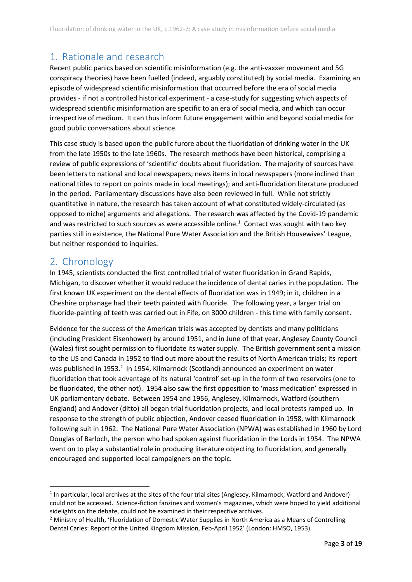## <span id="page-3-0"></span>1. Rationale and research

Recent public panics based on scientific misinformation (e.g. the anti-vaxxer movement and 5G conspiracy theories) have been fuelled (indeed, arguably constituted) by social media. Examining an episode of widespread scientific misinformation that occurred before the era of social media provides - if not a controlled historical experiment - a case-study for suggesting which aspects of widespread scientific misinformation are specific to an era of social media, and which can occur irrespective of medium. It can thus inform future engagement within and beyond social media for good public conversations about science.

This case study is based upon the public furore about the fluoridation of drinking water in the UK from the late 1950s to the late 1960s. The research methods have been historical, comprising a review of public expressions of 'scientific' doubts about fluoridation. The majority of sources have been letters to national and local newspapers; news items in local newspapers (more inclined than national titles to report on points made in local meetings); and anti-fluoridation literature produced in the period. Parliamentary discussions have also been reviewed in full. While not strictly quantitative in nature, the research has taken account of what constituted widely-circulated (as opposed to niche) arguments and allegations. The research was affected by the Covid-19 pandemic and was restricted to such sources as were accessible online.<sup>1</sup> Contact was sought with two key parties still in existence, the National Pure Water Association and the British Housewives' League, but neither responded to inquiries.

## <span id="page-3-1"></span>2. Chronology

In 1945, scientists conducted the first controlled trial of water fluoridation in Grand Rapids, Michigan, to discover whether it would reduce the incidence of dental caries in the population. The first known UK experiment on the dental effects of fluoridation was in 1949; in it, children in a Cheshire orphanage had their teeth painted with fluoride. The following year, a larger trial on fluoride-painting of teeth was carried out in Fife, on 3000 children - this time with family consent.

Evidence for the success of the American trials was accepted by dentists and many politicians (including President Eisenhower) by around 1951, and in June of that year, Anglesey County Council (Wales) first sought permission to fluoridate its water supply. The British government sent a mission to the US and Canada in 1952 to find out more about the results of North American trials; its report was published in 1953.<sup>2</sup> In 1954, Kilmarnock (Scotland) announced an experiment on water fluoridation that took advantage of its natural 'control' set-up in the form of two reservoirs (one to be fluoridated, the other not). 1954 also saw the first opposition to 'mass medication' expressed in UK parliamentary debate. Between 1954 and 1956, Anglesey, Kilmarnock, Watford (southern England) and Andover (ditto) all began trial fluoridation projects, and local protests ramped up. In response to the strength of public objection, Andover ceased fluoridation in 1958, with Kilmarnock following suit in 1962. The National Pure Water Association (NPWA) was established in 1960 by Lord Douglas of Barloch, the person who had spoken against fluoridation in the Lords in 1954. The NPWA went on to play a substantial role in producing literature objecting to fluoridation, and generally encouraged and supported local campaigners on the topic.

<sup>&</sup>lt;sup>1</sup> In particular, local archives at the sites of the four trial sites (Anglesey, Kilmarnock, Watford and Andover) could not be accessed. Science-fiction fanzines and women's magazines, which were hoped to yield additional sidelights on the debate, could not be examined in their respective archives.

<sup>&</sup>lt;sup>2</sup> Ministry of Health, 'Fluoridation of Domestic Water Supplies in North America as a Means of Controlling Dental Caries: Report of the United Kingdom Mission, Feb-April 1952' (London: HMSO, 1953).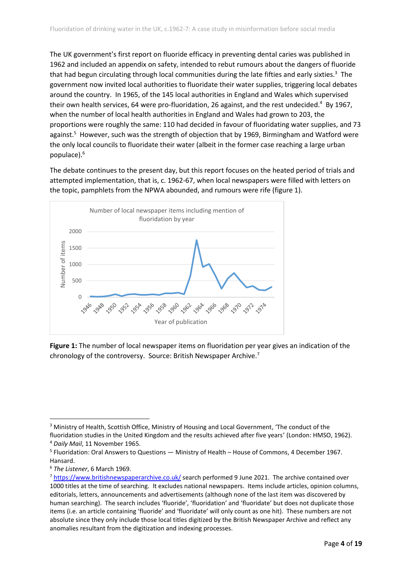The UK government's first report on fluoride efficacy in preventing dental caries was published in 1962 and included an appendix on safety, intended to rebut rumours about the dangers of fluoride that had begun circulating through local communities during the late fifties and early sixties.<sup>3</sup> The government now invited local authorities to fluoridate their water supplies, triggering local debates around the country. In 1965, of the 145 local authorities in England and Wales which supervised their own health services, 64 were pro-fluoridation, 26 against, and the rest undecided.<sup>4</sup> By 1967, when the number of local health authorities in England and Wales had grown to 203, the proportions were roughly the same: 110 had decided in favour of fluoridating water supplies, and 73 against.<sup>5</sup> However, such was the strength of objection that by 1969, Birmingham and Watford were the only local councils to fluoridate their water (albeit in the former case reaching a large urban populace).<sup>6</sup>

The debate continues to the present day, but this report focuses on the heated period of trials and attempted implementation, that is, c. 1962-67, when local newspapers were filled with letters on the topic, pamphlets from the NPWA abounded, and rumours were rife (figure 1).



**Figure 1:** The number of local newspaper items on fluoridation per year gives an indication of the chronology of the controversy. Source: British Newspaper Archive. 7

<sup>&</sup>lt;sup>3</sup> Ministry of Health, Scottish Office, Ministry of Housing and Local Government, 'The conduct of the fluoridation studies in the United Kingdom and the results achieved after five years' (London: HMSO, 1962).

<sup>4</sup> *Daily Mail*, 11 November 1965.

<sup>&</sup>lt;sup>5</sup> Fluoridation: Oral Answers to Questions — Ministry of Health – House of Commons, 4 December 1967. Hansard.

<sup>6</sup> *The Listener*, 6 March 1969.

<sup>&</sup>lt;sup>7</sup> <https://www.britishnewspaperarchive.co.uk/> search performed 9 June 2021. The archive contained over 1000 titles at the time of searching. It excludes national newspapers. Items include articles, opinion columns, editorials, letters, announcements and advertisements (although none of the last item was discovered by human searching). The search includes 'fluoride', 'fluoridation' and 'fluoridate' but does not duplicate those items (i.e. an article containing 'fluoride' and 'fluoridate' will only count as one hit). These numbers are not absolute since they only include those local titles digitized by the British Newspaper Archive and reflect any anomalies resultant from the digitization and indexing processes.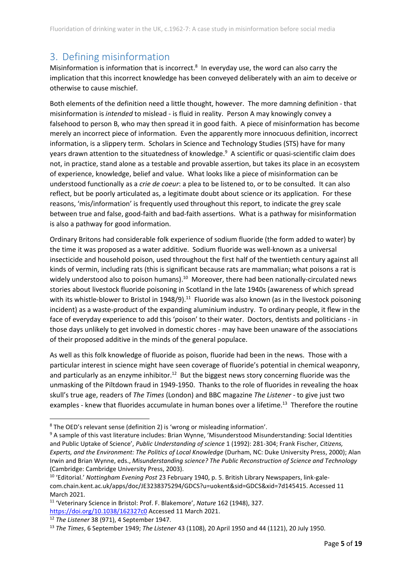## <span id="page-5-0"></span>3. Defining misinformation

Misinformation is information that is incorrect.<sup>8</sup> In everyday use, the word can also carry the implication that this incorrect knowledge has been conveyed deliberately with an aim to deceive or otherwise to cause mischief.

Both elements of the definition need a little thought, however. The more damning definition - that misinformation is *intended* to mislead - is fluid in reality. Person A may knowingly convey a falsehood to person B, who may then spread it in good faith. A piece of misinformation has become merely an incorrect piece of information. Even the apparently more innocuous definition, incorrect information, is a slippery term. Scholars in Science and Technology Studies (STS) have for many years drawn attention to the situatedness of knowledge.<sup>9</sup> A scientific or quasi-scientific claim does not, in practice, stand alone as a testable and provable assertion, but takes its place in an ecosystem of experience, knowledge, belief and value. What looks like a piece of misinformation can be understood functionally as a *crie de coeur*: a plea to be listened to, or to be consulted. It can also reflect, but be poorly articulated as, a legitimate doubt about science or its application. For these reasons, 'mis/information' is frequently used throughout this report, to indicate the grey scale between true and false, good-faith and bad-faith assertions. What is a pathway for misinformation is also a pathway for good information.

Ordinary Britons had considerable folk experience of sodium fluoride (the form added to water) by the time it was proposed as a water additive. Sodium fluoride was well-known as a universal insecticide and household poison, used throughout the first half of the twentieth century against all kinds of vermin, including rats (this is significant because rats are mammalian; what poisons a rat is widely understood also to poison humans).<sup>10</sup> Moreover, there had been nationally-circulated news stories about livestock fluoride poisoning in Scotland in the late 1940s (awareness of which spread with its whistle-blower to Bristol in 1948/9).<sup>11</sup> Fluoride was also known (as in the livestock poisoning incident) as a waste-product of the expanding aluminium industry. To ordinary people, it flew in the face of everyday experience to add this 'poison' to their water. Doctors, dentists and politicians - in those days unlikely to get involved in domestic chores - may have been unaware of the associations of their proposed additive in the minds of the general populace.

As well as this folk knowledge of fluoride as poison, fluoride had been in the news. Those with a particular interest in science might have seen coverage of fluoride's potential in chemical weaponry, and particularly as an enzyme inhibitor.<sup>12</sup> But the biggest news story concerning fluoride was the unmasking of the Piltdown fraud in 1949-1950. Thanks to the role of fluorides in revealing the hoax skull's true age, readers of *The Times* (London) and BBC magazine *The Listener* - to give just two examples - knew that fluorides accumulate in human bones over a lifetime.<sup>13</sup> Therefore the routine

<sup>8</sup> The OED's relevant sense (definition 2) is 'wrong or misleading information'.

<sup>&</sup>lt;sup>9</sup> A sample of this vast literature includes: Brian Wynne, 'Misunderstood Misunderstanding: Social Identities and Public Uptake of Science', *Public Understanding of science* 1 (1992): 281-304; Frank Fischer, *Citizens, Experts, and the Environment: The Politics of Local Knowledge* (Durham, NC: Duke University Press, 2000); Alan Irwin and Brian Wynne, eds., *Misunderstanding science? The Public Reconstruction of Science and Technology* (Cambridge: Cambridge University Press, 2003).

<sup>10</sup> 'Editorial.' *Nottingham Evening Post* 23 February 1940, p. 5. British Library Newspapers, link-galecom.chain.kent.ac.uk/apps/doc/JE3238375294/GDCS?u=uokent&sid=GDCS&xid=7d145415. Accessed 11 March 2021.

<sup>11</sup> 'Veterinary Science in Bristol: Prof. F. Blakemore', *Nature* 162 (1948), 327. <https://doi.org/10.1038/162327c0> Accessed 11 March 2021.

<sup>12</sup> *The Listener* 38 (971), 4 September 1947.

<sup>13</sup> *The Times*, 6 September 1949; *The Listener* 43 (1108), 20 April 1950 and 44 (1121), 20 July 1950.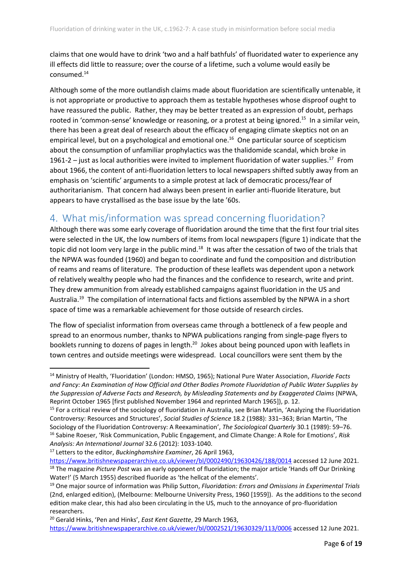claims that one would have to drink 'two and a half bathfuls' of fluoridated water to experience any ill effects did little to reassure; over the course of a lifetime, such a volume would easily be consumed.<sup>14</sup>

Although some of the more outlandish claims made about fluoridation are scientifically untenable, it is not appropriate or productive to approach them as testable hypotheses whose disproof ought to have reassured the public. Rather, they may be better treated as an expression of doubt, perhaps rooted in 'common-sense' knowledge or reasoning, or a protest at being ignored.<sup>15</sup> In a similar vein, there has been a great deal of research about the efficacy of engaging climate skeptics not on an empirical level, but on a psychological and emotional one.<sup>16</sup> One particular source of scepticism about the consumption of unfamiliar prophylactics was the thalidomide scandal, which broke in 1961-2 – just as local authorities were invited to implement fluoridation of water supplies.<sup>17</sup> From about 1966, the content of anti-fluoridation letters to local newspapers shifted subtly away from an emphasis on 'scientific' arguments to a simple protest at lack of democratic process/fear of authoritarianism. That concern had always been present in earlier anti-fluoride literature, but appears to have crystallised as the base issue by the late '60s.

## <span id="page-6-0"></span>4. What mis/information was spread concerning fluoridation?

Although there was some early coverage of fluoridation around the time that the first four trial sites were selected in the UK, the low numbers of items from local newspapers (figure 1) indicate that the topic did not loom very large in the public mind.<sup>18</sup> It was after the cessation of two of the trials that the NPWA was founded (1960) and began to coordinate and fund the composition and distribution of reams and reams of literature. The production of these leaflets was dependent upon a network of relatively wealthy people who had the finances and the confidence to research, write and print. They drew ammunition from already established campaigns against fluoridation in the US and Australia.<sup>19</sup> The compilation of international facts and fictions assembled by the NPWA in a short space of time was a remarkable achievement for those outside of research circles.

The flow of specialist information from overseas came through a bottleneck of a few people and spread to an enormous number, thanks to NPWA publications ranging from single-page flyers to booklets running to dozens of pages in length.<sup>20</sup> Jokes about being pounced upon with leaflets in town centres and outside meetings were widespread. Local councillors were sent them by the

<sup>14</sup> Ministry of Health, 'Fluoridation' (London: HMSO, 1965); National Pure Water Association, *Fluoride Facts and Fancy: An Examination of How Official and Other Bodies Promote Fluoridation of Public Water Supplies by the Suppression of Adverse Facts and Research, by Misleading Statements and by Exaggerated Claims* (NPWA, Reprint October 1965 [first published November 1964 and reprinted March 1965]), p. 12.

<sup>&</sup>lt;sup>15</sup> For a critical review of the sociology of fluoridation in Australia, see Brian Martin, 'Analyzing the Fluoridation Controversy: Resources and Structures', *Social Studies of Science* 18.2 (1988): 331–363; Brian Martin, 'The Sociology of the Fluoridation Controversy: A Reexamination', *The Sociological Quarterly* 30.1 (1989): 59–76. <sup>16</sup> Sabine Roeser, 'Risk Communication, Public Engagement, and Climate Change: A Role for Emotions', *Risk Analysis: An International Journal* 32.6 (2012): 1033-1040.

<sup>17</sup> Letters to the editor, *Buckinghamshire Examiner*, 26 April 1963,

<https://www.britishnewspaperarchive.co.uk/viewer/bl/0002490/19630426/188/0014> accessed 12 June 2021. <sup>18</sup> The magazine *Picture Post* was an early opponent of fluoridation; the major article 'Hands off Our Drinking Water!' (5 March 1955) described fluoride as 'the hellcat of the elements'.

<sup>19</sup> One major source of information was Philip Sutton, *Fluoridation: Errors and Omissions in Experimental Trials* (2nd, enlarged edition), (Melbourne: Melbourne University Press, 1960 [1959]). As the additions to the second edition make clear, this had also been circulating in the US, much to the annoyance of pro-fluoridation researchers.

<sup>20</sup> Gerald Hinks, 'Pen and Hinks', *East Kent Gazette*, 29 March 1963,

<https://www.britishnewspaperarchive.co.uk/viewer/bl/0002521/19630329/113/0006> accessed 12 June 2021.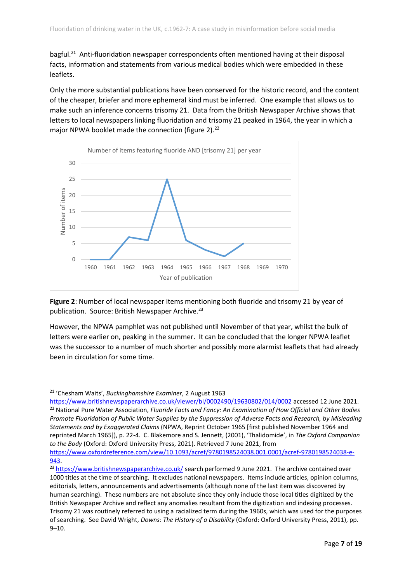bagful.<sup>21</sup> Anti-fluoridation newspaper correspondents often mentioned having at their disposal facts, information and statements from various medical bodies which were embedded in these leaflets.

Only the more substantial publications have been conserved for the historic record, and the content of the cheaper, briefer and more ephemeral kind must be inferred. One example that allows us to make such an inference concerns trisomy 21. Data from the British Newspaper Archive shows that letters to local newspapers linking fluoridation and trisomy 21 peaked in 1964, the year in which a major NPWA booklet made the connection (figure 2). $^{22}$ 



**Figure 2**: Number of local newspaper items mentioning both fluoride and trisomy 21 by year of publication. Source: British Newspaper Archive.<sup>23</sup>

However, the NPWA pamphlet was not published until November of that year, whilst the bulk of letters were earlier on, peaking in the summer. It can be concluded that the longer NPWA leaflet was the successor to a number of much shorter and possibly more alarmist leaflets that had already been in circulation for some time.

<sup>21</sup> 'Chesham Waits', *Buckinghamshire Examiner*, 2 August 1963

<https://www.britishnewspaperarchive.co.uk/viewer/bl/0002490/19630802/014/0002> accessed 12 June 2021. <sup>22</sup> National Pure Water Association, *Fluoride Facts and Fancy: An Examination of How Official and Other Bodies Promote Fluoridation of Public Water Supplies by the Suppression of Adverse Facts and Research, by Misleading Statements and by Exaggerated Claims* (NPWA, Reprint October 1965 [first published November 1964 and reprinted March 1965]), p. 22-4. C. Blakemore and S. Jennett, (2001), 'Thalidomide', in *The Oxford Companion to the Body* (Oxford: Oxford University Press, 2021). Retrieved 7 June 2021, from

[https://www.oxfordreference.com/view/10.1093/acref/9780198524038.001.0001/acref-9780198524038-e-](https://www.oxfordreference.com/view/10.1093/acref/9780198524038.001.0001/acref-9780198524038-e-943)[943.](https://www.oxfordreference.com/view/10.1093/acref/9780198524038.001.0001/acref-9780198524038-e-943)

<sup>&</sup>lt;sup>23</sup> <https://www.britishnewspaperarchive.co.uk/> search performed 9 June 2021. The archive contained over 1000 titles at the time of searching. It excludes national newspapers. Items include articles, opinion columns, editorials, letters, announcements and advertisements (although none of the last item was discovered by human searching). These numbers are not absolute since they only include those local titles digitized by the British Newspaper Archive and reflect any anomalies resultant from the digitization and indexing processes. Trisomy 21 was routinely referred to using a racialized term during the 1960s, which was used for the purposes of searching. See David Wright, *Downs: The History of a Disability* (Oxford: Oxford University Press, 2011), pp. 9–10.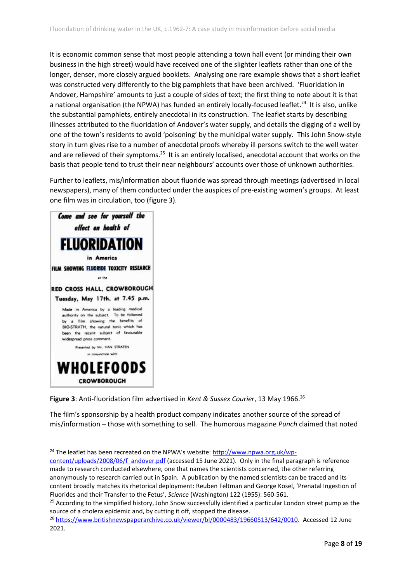It is economic common sense that most people attending a town hall event (or minding their own business in the high street) would have received one of the slighter leaflets rather than one of the longer, denser, more closely argued booklets. Analysing one rare example shows that a short leaflet was constructed very differently to the big pamphlets that have been archived. 'Fluoridation in Andover, Hampshire' amounts to just a couple of sides of text; the first thing to note about it is that a national organisation (the NPWA) has funded an entirely locally-focused leaflet.<sup>24</sup> It is also, unlike the substantial pamphlets, entirely anecdotal in its construction. The leaflet starts by describing illnesses attributed to the fluoridation of Andover's water supply, and details the digging of a well by one of the town's residents to avoid 'poisoning' by the municipal water supply. This John Snow-style story in turn gives rise to a number of anecdotal proofs whereby ill persons switch to the well water and are relieved of their symptoms.<sup>25</sup> It is an entirely localised, anecdotal account that works on the basis that people tend to trust their near neighbours' accounts over those of unknown authorities.

Further to leaflets, mis/information about fluoride was spread through meetings (advertised in local newspapers), many of them conducted under the auspices of pre-existing women's groups. At least one film was in circulation, too (figure 3).



**Figure 3**: Anti-fluoridation film advertised in *Kent & Sussex Courier*, 13 May 1966. 26

The film's sponsorship by a health product company indicates another source of the spread of mis/information – those with something to sell. The humorous magazine *Punch* claimed that noted

<sup>&</sup>lt;sup>24</sup> The leaflet has been recreated on the NPWA's website: [http://www.npwa.org.uk/wp-](http://www.npwa.org.uk/wp-content/uploads/2008/06/f_andover.pdf)

[content/uploads/2008/06/f\\_andover.pdf](http://www.npwa.org.uk/wp-content/uploads/2008/06/f_andover.pdf) (accessed 15 June 2021). Only in the final paragraph is reference made to research conducted elsewhere, one that names the scientists concerned, the other referring anonymously to research carried out in Spain. A publication by the named scientists can be traced and its content broadly matches its rhetorical deployment: Reuben Feltman and George Kosel, 'Prenatal Ingestion of Fluorides and their Transfer to the Fetus', *Science* (Washington) 122 (1955): 560-561.

 $25$  According to the simplified history, John Snow successfully identified a particular London street pump as the source of a cholera epidemic and, by cutting it off, stopped the disease.

<sup>26</sup> [https://www.britishnewspaperarchive.co.uk/viewer/bl/0000483/19660513/642/0010.](https://www.britishnewspaperarchive.co.uk/viewer/bl/0000483/19660513/642/0010) Accessed 12 June 2021.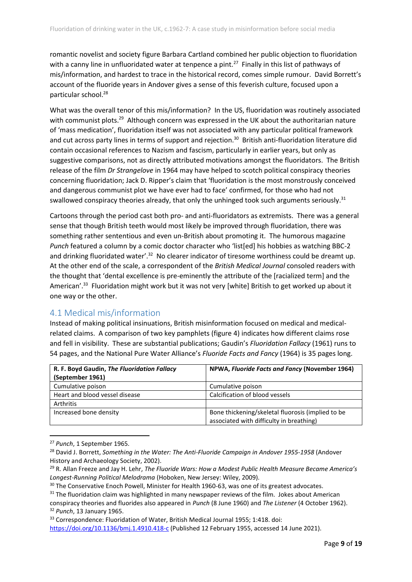romantic novelist and society figure Barbara Cartland combined her public objection to fluoridation with a canny line in unfluoridated water at tenpence a pint.<sup>27</sup> Finally in this list of pathways of mis/information, and hardest to trace in the historical record, comes simple rumour. David Borrett's account of the fluoride years in Andover gives a sense of this feverish culture, focused upon a particular school.<sup>28</sup>

What was the overall tenor of this mis/information? In the US, fluoridation was routinely associated with communist plots.<sup>29</sup> Although concern was expressed in the UK about the authoritarian nature of 'mass medication', fluoridation itself was not associated with any particular political framework and cut across party lines in terms of support and rejection.<sup>30</sup> British anti-fluoridation literature did contain occasional references to Nazism and fascism, particularly in earlier years, but only as suggestive comparisons, not as directly attributed motivations amongst the fluoridators. The British release of the film *Dr Strangelove* in 1964 may have helped to scotch political conspiracy theories concerning fluoridation; Jack D. Ripper's claim that 'fluoridation is the most monstrously conceived and dangerous communist plot we have ever had to face' confirmed, for those who had not swallowed conspiracy theories already, that only the unhinged took such arguments seriously.<sup>31</sup>

Cartoons through the period cast both pro- and anti-fluoridators as extremists. There was a general sense that though British teeth would most likely be improved through fluoridation, there was something rather sententious and even un-British about promoting it. The humorous magazine *Punch* featured a column by a comic doctor character who 'list[ed] his hobbies as watching BBC-2 and drinking fluoridated water'.<sup>32</sup> No clearer indicator of tiresome worthiness could be dreamt up. At the other end of the scale, a correspondent of the *British Medical Journal* consoled readers with the thought that 'dental excellence is pre-eminently the attribute of the [racialized term] and the American'.<sup>33</sup> Fluoridation might work but it was not very [white] British to get worked up about it one way or the other.

#### <span id="page-9-0"></span>4.1 Medical mis/information

Instead of making political insinuations, British misinformation focused on medical and medicalrelated claims. A comparison of two key pamphlets (figure 4) indicates how different claims rose and fell in visibility. These are substantial publications; Gaudin's *Fluoridation Fallacy* (1961) runs to 54 pages, and the National Pure Water Alliance's *Fluoride Facts and Fancy* (1964) is 35 pages long.

| R. F. Boyd Gaudin, The Fluoridation Fallacy | NPWA, Fluoride Facts and Fancy (November 1964)    |
|---------------------------------------------|---------------------------------------------------|
| (September 1961)                            |                                                   |
| Cumulative poison                           | Cumulative poison                                 |
| Heart and blood vessel disease              | Calcification of blood vessels                    |
| Arthritis                                   |                                                   |
| Increased bone density                      | Bone thickening/skeletal fluorosis (implied to be |
|                                             | associated with difficulty in breathing)          |

<sup>27</sup> *Punch*, 1 September 1965.

<sup>33</sup> Correspondence: Fluoridation of Water, British Medical Journal 1955; 1:418. doi:

<https://doi.org/10.1136/bmj.1.4910.418-c> (Published 12 February 1955, accessed 14 June 2021).

<sup>28</sup> David J. Borrett, *Something in the Water: The Anti-Fluoride Campaign in Andover 1955-1958* (Andover History and Archaeology Society, 2002).

<sup>29</sup> R. Allan Freeze and Jay H. Lehr, *The Fluoride Wars: How a Modest Public Health Measure Became America's Longest-Running Political Melodrama* (Hoboken, New Jersey: Wiley, 2009).

<sup>&</sup>lt;sup>30</sup> The Conservative Enoch Powell, Minister for Health 1960-63, was one of its greatest advocates.

<sup>&</sup>lt;sup>31</sup> The fluoridation claim was highlighted in many newspaper reviews of the film. Jokes about American conspiracy theories and fluorides also appeared in *Punch* (8 June 1960) and *The Listener* (4 October 1962). <sup>32</sup> *Punch*, 13 January 1965.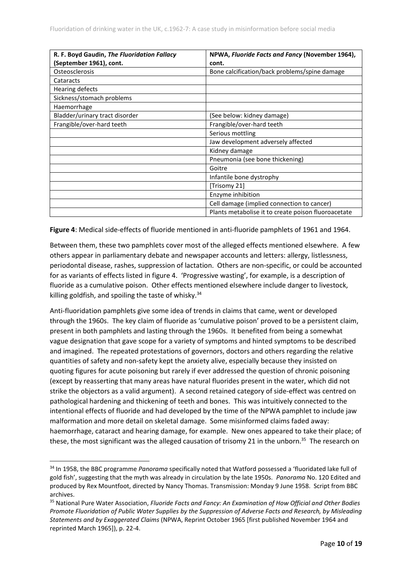| R. F. Boyd Gaudin, The Fluoridation Fallacy | NPWA, Fluoride Facts and Fancy (November 1964),     |
|---------------------------------------------|-----------------------------------------------------|
| (September 1961), cont.                     | cont.                                               |
| Osteosclerosis                              | Bone calcification/back problems/spine damage       |
| Cataracts                                   |                                                     |
| Hearing defects                             |                                                     |
| Sickness/stomach problems                   |                                                     |
| Haemorrhage                                 |                                                     |
| Bladder/urinary tract disorder              | (See below: kidney damage)                          |
| Frangible/over-hard teeth                   | Frangible/over-hard teeth                           |
|                                             | Serious mottling                                    |
|                                             | Jaw development adversely affected                  |
|                                             | Kidney damage                                       |
|                                             | Pneumonia (see bone thickening)                     |
|                                             | Goitre                                              |
|                                             | Infantile bone dystrophy                            |
|                                             | [Trisomy 21]                                        |
|                                             | Enzyme inhibition                                   |
|                                             | Cell damage (implied connection to cancer)          |
|                                             | Plants metabolise it to create poison fluoroacetate |

**Figure 4**: Medical side-effects of fluoride mentioned in anti-fluoride pamphlets of 1961 and 1964.

Between them, these two pamphlets cover most of the alleged effects mentioned elsewhere. A few others appear in parliamentary debate and newspaper accounts and letters: allergy, listlessness, periodontal disease, rashes, suppression of lactation. Others are non-specific, or could be accounted for as variants of effects listed in figure 4. 'Progressive wasting', for example, is a description of fluoride as a cumulative poison. Other effects mentioned elsewhere include danger to livestock, killing goldfish, and spoiling the taste of whisky.<sup>34</sup>

Anti-fluoridation pamphlets give some idea of trends in claims that came, went or developed through the 1960s. The key claim of fluoride as 'cumulative poison' proved to be a persistent claim, present in both pamphlets and lasting through the 1960s. It benefited from being a somewhat vague designation that gave scope for a variety of symptoms and hinted symptoms to be described and imagined. The repeated protestations of governors, doctors and others regarding the relative quantities of safety and non-safety kept the anxiety alive, especially because they insisted on quoting figures for acute poisoning but rarely if ever addressed the question of chronic poisoning (except by reasserting that many areas have natural fluorides present in the water, which did not strike the objectors as a valid argument). A second retained category of side-effect was centred on pathological hardening and thickening of teeth and bones. This was intuitively connected to the intentional effects of fluoride and had developed by the time of the NPWA pamphlet to include jaw malformation and more detail on skeletal damage. Some misinformed claims faded away: haemorrhage, cataract and hearing damage, for example. New ones appeared to take their place; of these, the most significant was the alleged causation of trisomy 21 in the unborn.<sup>35</sup> The research on

<sup>34</sup> In 1958, the BBC programme *Panorama* specifically noted that Watford possessed a 'fluoridated lake full of gold fish', suggesting that the myth was already in circulation by the late 1950s. *Panorama* No. 120 Edited and produced by Rex Mountfoot, directed by Nancy Thomas. Transmission: Monday 9 June 1958. Script from BBC archives.

<sup>35</sup> National Pure Water Association, *Fluoride Facts and Fancy: An Examination of How Official and Other Bodies Promote Fluoridation of Public Water Supplies by the Suppression of Adverse Facts and Research, by Misleading Statements and by Exaggerated Claims* (NPWA, Reprint October 1965 [first published November 1964 and reprinted March 1965]), p. 22-4.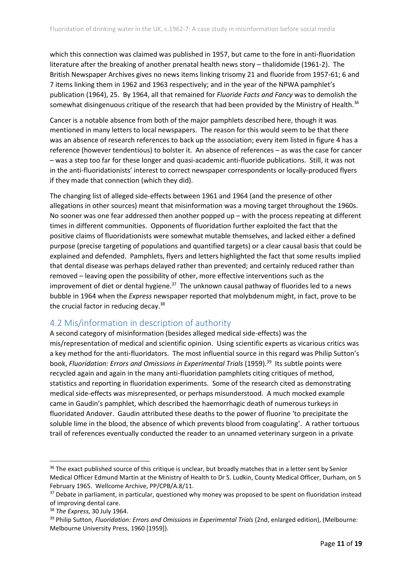which this connection was claimed was published in 1957, but came to the fore in anti-fluoridation literature after the breaking of another prenatal health news story – thalidomide (1961-2). The British Newspaper Archives gives no news items linking trisomy 21 and fluoride from 1957-61; 6 and 7 items linking them in 1962 and 1963 respectively; and in the year of the NPWA pamphlet's publication (1964), 25. By 1964, all that remained for *Fluoride Facts and Fancy* was to demolish the somewhat disingenuous critique of the research that had been provided by the Ministry of Health.<sup>36</sup>

Cancer is a notable absence from both of the major pamphlets described here, though it was mentioned in many letters to local newspapers. The reason for this would seem to be that there was an absence of research references to back up the association; every item listed in figure 4 has a reference (however tendentious) to bolster it. An absence of references – as was the case for cancer – was a step too far for these longer and quasi-academic anti-fluoride publications. Still, it was not in the anti-fluoridationists' interest to correct newspaper correspondents or locally-produced flyers if they made that connection (which they did).

The changing list of alleged side-effects between 1961 and 1964 (and the presence of other allegations in other sources) meant that misinformation was a moving target throughout the 1960s. No sooner was one fear addressed then another popped up – with the process repeating at different times in different communities. Opponents of fluoridation further exploited the fact that the positive claims of fluoridationists were somewhat mutable themselves, and lacked either a defined purpose (precise targeting of populations and quantified targets) or a clear causal basis that could be explained and defended. Pamphlets, flyers and letters highlighted the fact that some results implied that dental disease was perhaps delayed rather than prevented; and certainly reduced rather than removed – leaving open the possibility of other, more effective interventions such as the improvement of diet or dental hygiene.<sup>37</sup> The unknown causal pathway of fluorides led to a news bubble in 1964 when the *Express* newspaper reported that molybdenum might, in fact, prove to be the crucial factor in reducing decay.<sup>38</sup>

#### <span id="page-11-0"></span>4.2 Mis/information in description of authority

A second category of misinformation (besides alleged medical side-effects) was the mis/representation of medical and scientific opinion. Using scientific experts as vicarious critics was a key method for the anti-fluoridators. The most influential source in this regard was Philip Sutton's book, *Fluoridation: Errors and Omissions in Experimental Trials* (1959). 39 Its subtle points were recycled again and again in the many anti-fluoridation pamphlets citing critiques of method, statistics and reporting in fluoridation experiments. Some of the research cited as demonstrating medical side-effects was misrepresented, or perhaps misunderstood. A much mocked example came in Gaudin's pamphlet, which described the haemorrhagic death of numerous turkeys in fluoridated Andover. Gaudin attributed these deaths to the power of fluorine 'to precipitate the soluble lime in the blood, the absence of which prevents blood from coagulating'. A rather tortuous trail of references eventually conducted the reader to an unnamed veterinary surgeon in a private

<sup>&</sup>lt;sup>36</sup> The exact published source of this critique is unclear, but broadly matches that in a letter sent by Senior Medical Officer Edmund Martin at the Ministry of Health to Dr S. Ludkin, County Medical Officer, Durham, on 5 February 1965. Wellcome Archive, PP/CPB/A.8/11.

<sup>&</sup>lt;sup>37</sup> Debate in parliament, in particular, questioned why money was proposed to be spent on fluoridation instead of improving dental care.

<sup>38</sup> *The Express*, 30 July 1964.

<sup>39</sup> Philip Sutton, *Fluoridation: Errors and Omissions in Experimental Trials* (2nd, enlarged edition), (Melbourne: Melbourne University Press, 1960 [1959]).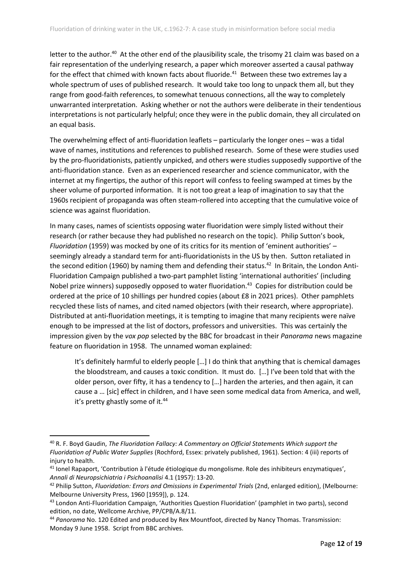letter to the author.<sup>40</sup> At the other end of the plausibility scale, the trisomy 21 claim was based on a fair representation of the underlying research, a paper which moreover asserted a causal pathway for the effect that chimed with known facts about fluoride.<sup>41</sup> Between these two extremes lay a whole spectrum of uses of published research. It would take too long to unpack them all, but they range from good-faith references, to somewhat tenuous connections, all the way to completely unwarranted interpretation. Asking whether or not the authors were deliberate in their tendentious interpretations is not particularly helpful; once they were in the public domain, they all circulated on an equal basis.

The overwhelming effect of anti-fluoridation leaflets – particularly the longer ones – was a tidal wave of names, institutions and references to published research. Some of these were studies used by the pro-fluoridationists, patiently unpicked, and others were studies supposedly supportive of the anti-fluoridation stance. Even as an experienced researcher and science communicator, with the internet at my fingertips, the author of this report will confess to feeling swamped at times by the sheer volume of purported information. It is not too great a leap of imagination to say that the 1960s recipient of propaganda was often steam-rollered into accepting that the cumulative voice of science was against fluoridation.

In many cases, names of scientists opposing water fluoridation were simply listed without their research (or rather because they had published no research on the topic). Philip Sutton's book, *Fluoridation* (1959) was mocked by one of its critics for its mention of 'eminent authorities' – seemingly already a standard term for anti-fluoridationists in the US by then. Sutton retaliated in the second edition (1960) by naming them and defending their status.<sup>42</sup> In Britain, the London Anti-Fluoridation Campaign published a two-part pamphlet listing 'international authorities' (including Nobel prize winners) supposedly opposed to water fluoridation.<sup>43</sup> Copies for distribution could be ordered at the price of 10 shillings per hundred copies (about £8 in 2021 prices). Other pamphlets recycled these lists of names, and cited named objectors (with their research, where appropriate). Distributed at anti-fluoridation meetings, it is tempting to imagine that many recipients were naïve enough to be impressed at the list of doctors, professors and universities. This was certainly the impression given by the *vox pop* selected by the BBC for broadcast in their *Panorama* news magazine feature on fluoridation in 1958. The unnamed woman explained:

It's definitely harmful to elderly people […] I do think that anything that is chemical damages the bloodstream, and causes a toxic condition. It must do. […] I've been told that with the older person, over fifty, it has a tendency to […] harden the arteries, and then again, it can cause a … [sic] effect in children, and I have seen some medical data from America, and well, it's pretty ghastly some of it.<sup>44</sup>

<sup>40</sup> R. F. Boyd Gaudin, *The Fluoridation Fallacy: A Commentary on Official Statements Which support the Fluoridation of Public Water Supplies* (Rochford, Essex: privately published, 1961). Section: 4 (iii) reports of injury to health.

<sup>41</sup> Ionel Rapaport, 'Contribution à l'étude étiologique du mongolisme. Role des inhibiteurs enzymatiques', *Annali di Neuropsichiatria i Psichoanalisi* 4.1 (1957): 13-20.

<sup>42</sup> Philip Sutton, *Fluoridation: Errors and Omissions in Experimental Trials* (2nd, enlarged edition), (Melbourne: Melbourne University Press, 1960 [1959]), p. 124.

<sup>43</sup> London Anti-Fluoridation Campaign, 'Authorities Question Fluoridation' (pamphlet in two parts), second edition, no date, Wellcome Archive, PP/CPB/A.8/11.

<sup>44</sup> *Panorama* No. 120 Edited and produced by Rex Mountfoot, directed by Nancy Thomas. Transmission: Monday 9 June 1958. Script from BBC archives.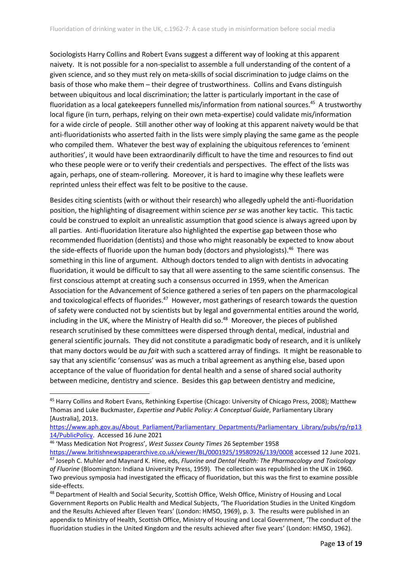Sociologists Harry Collins and Robert Evans suggest a different way of looking at this apparent naivety. It is not possible for a non-specialist to assemble a full understanding of the content of a given science, and so they must rely on meta-skills of social discrimination to judge claims on the basis of those who make them – their degree of trustworthiness. Collins and Evans distinguish between ubiquitous and local discrimination; the latter is particularly important in the case of fluoridation as a local gatekeepers funnelled mis/information from national sources. 45 A trustworthy local figure (in turn, perhaps, relying on their own meta-expertise) could validate mis/information for a wide circle of people. Still another other way of looking at this apparent naivety would be that anti-fluoridationists who asserted faith in the lists were simply playing the same game as the people who compiled them. Whatever the best way of explaining the ubiquitous references to 'eminent authorities', it would have been extraordinarily difficult to have the time and resources to find out who these people were or to verify their credentials and perspectives. The effect of the lists was again, perhaps, one of steam-rollering. Moreover, it is hard to imagine why these leaflets were reprinted unless their effect was felt to be positive to the cause.

Besides citing scientists (with or without their research) who allegedly upheld the anti-fluoridation position, the highlighting of disagreement within science *per se* was another key tactic. This tactic could be construed to exploit an unrealistic assumption that good science is always agreed upon by all parties. Anti-fluoridation literature also highlighted the expertise gap between those who recommended fluoridation (dentists) and those who might reasonably be expected to know about the side-effects of fluoride upon the human body (doctors and physiologists).<sup>46</sup> There was something in this line of argument. Although doctors tended to align with dentists in advocating fluoridation, it would be difficult to say that all were assenting to the same scientific consensus. The first conscious attempt at creating such a consensus occurred in 1959, when the American Association for the Advancement of Science gathered a series of ten papers on the pharmacological and toxicological effects of fluorides.<sup>47</sup> However, most gatherings of research towards the question of safety were conducted not by scientists but by legal and governmental entities around the world, including in the UK, where the Ministry of Health did so. 48 Moreover, the pieces of published research scrutinised by these committees were dispersed through dental, medical, industrial and general scientific journals. They did not constitute a paradigmatic body of research, and it is unlikely that many doctors would be *au fait* with such a scattered array of findings. It might be reasonable to say that any scientific 'consensus' was as much a tribal agreement as anything else, based upon acceptance of the value of fluoridation for dental health and a sense of shared social authority between medicine, dentistry and science. Besides this gap between dentistry and medicine,

<sup>46</sup> 'Mass Medication Not Progress', *West Sussex County Times* 26 September 1958

[https://www.britishnewspaperarchive.co.uk/viewer/BL/0001925/19580926/139/0008](https://www.britishnewspaperarchive.co.uk/viewer/BL/0001925/19580926/139/0008?browse=False) accessed 12 June 2021. <sup>47</sup> Joseph C. Muhler and Maynard K. Hine, eds, *Fluorine and Dental Health: The Pharmacology and Toxicology of Fluorine* (Bloomington: Indiana University Press, 1959). The collection was republished in the UK in 1960. Two previous symposia had investigated the efficacy of fluoridation, but this was the first to examine possible side-effects.

<sup>45</sup> Harry Collins and Robert Evans, Rethinking Expertise (Chicago: University of Chicago Press, 2008); Matthew Thomas and Luke Buckmaster, *Expertise and Public Policy: A Conceptual Guide*, Parliamentary Library [Australia], 2013.

[https://www.aph.gov.au/About\\_Parliament/Parliamentary\\_Departments/Parliamentary\\_Library/pubs/rp/rp13](https://www.aph.gov.au/About_Parliament/Parliamentary_Departments/Parliamentary_Library/pubs/rp/rp1314/PublicPolicy) [14/PublicPolicy.](https://www.aph.gov.au/About_Parliament/Parliamentary_Departments/Parliamentary_Library/pubs/rp/rp1314/PublicPolicy) Accessed 16 June 2021

<sup>48</sup> Department of Health and Social Security, Scottish Office, Welsh Office, Ministry of Housing and Local Government Reports on Public Health and Medical Subjects, 'The Fluoridation Studies in the United Kingdom and the Results Achieved after Eleven Years' (London: HMSO, 1969), p. 3. The results were published in an appendix to Ministry of Health, Scottish Office, Ministry of Housing and Local Government, 'The conduct of the fluoridation studies in the United Kingdom and the results achieved after five years' (London: HMSO, 1962).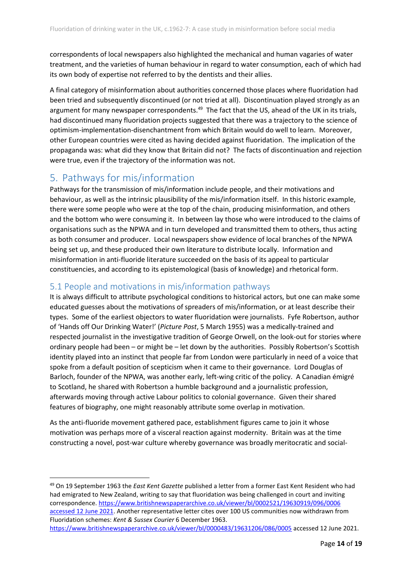correspondents of local newspapers also highlighted the mechanical and human vagaries of water treatment, and the varieties of human behaviour in regard to water consumption, each of which had its own body of expertise not referred to by the dentists and their allies.

A final category of misinformation about authorities concerned those places where fluoridation had been tried and subsequently discontinued (or not tried at all). Discontinuation played strongly as an argument for many newspaper correspondents.<sup>49</sup> The fact that the US, ahead of the UK in its trials, had discontinued many fluoridation projects suggested that there was a trajectory to the science of optimism-implementation-disenchantment from which Britain would do well to learn. Moreover, other European countries were cited as having decided against fluoridation. The implication of the propaganda was: what did they know that Britain did not? The facts of discontinuation and rejection were true, even if the trajectory of the information was not.

## <span id="page-14-0"></span>5. Pathways for mis/information

Pathways for the transmission of mis/information include people, and their motivations and behaviour, as well as the intrinsic plausibility of the mis/information itself. In this historic example, there were some people who were at the top of the chain, producing misinformation, and others and the bottom who were consuming it. In between lay those who were introduced to the claims of organisations such as the NPWA and in turn developed and transmitted them to others, thus acting as both consumer and producer. Local newspapers show evidence of local branches of the NPWA being set up, and these produced their own literature to distribute locally. Information and misinformation in anti-fluoride literature succeeded on the basis of its appeal to particular constituencies, and according to its epistemological (basis of knowledge) and rhetorical form.

#### <span id="page-14-1"></span>5.1 People and motivations in mis/information pathways

It is always difficult to attribute psychological conditions to historical actors, but one can make some educated guesses about the motivations of spreaders of mis/information, or at least describe their types. Some of the earliest objectors to water fluoridation were journalists. Fyfe Robertson, author of 'Hands off Our Drinking Water!' (*Picture Post*, 5 March 1955) was a medically-trained and respected journalist in the investigative tradition of George Orwell, on the look-out for stories where ordinary people had been – or might be – let down by the authorities. Possibly Robertson's Scottish identity played into an instinct that people far from London were particularly in need of a voice that spoke from a default position of scepticism when it came to their governance. Lord Douglas of Barloch, founder of the NPWA, was another early, left-wing critic of the policy. A Canadian émigré to Scotland, he shared with Robertson a humble background and a journalistic profession, afterwards moving through active Labour politics to colonial governance. Given their shared features of biography, one might reasonably attribute some overlap in motivation.

As the anti-fluoride movement gathered pace, establishment figures came to join it whose motivation was perhaps more of a visceral reaction against modernity. Britain was at the time constructing a novel, post-war culture whereby governance was broadly meritocratic and social-

<sup>49</sup> On 19 September 1963 the *East Kent Gazette* published a letter from a former East Kent Resident who had had emigrated to New Zealand, writing to say that fluoridation was being challenged in court and inviting correspondence[. https://www.britishnewspaperarchive.co.uk/viewer/bl/0002521/19630919/096/0006](https://www.britishnewspaperarchive.co.uk/viewer/bl/0002521/19630919/096/0006%20accessed%2012%20June%202021)  [accessed 12 June 2021.](https://www.britishnewspaperarchive.co.uk/viewer/bl/0002521/19630919/096/0006%20accessed%2012%20June%202021) Another representative letter cites over 100 US communities now withdrawn from Fluoridation schemes: *Kent & Sussex Courier* 6 December 1963.

<https://www.britishnewspaperarchive.co.uk/viewer/bl/0000483/19631206/086/0005> accessed 12 June 2021.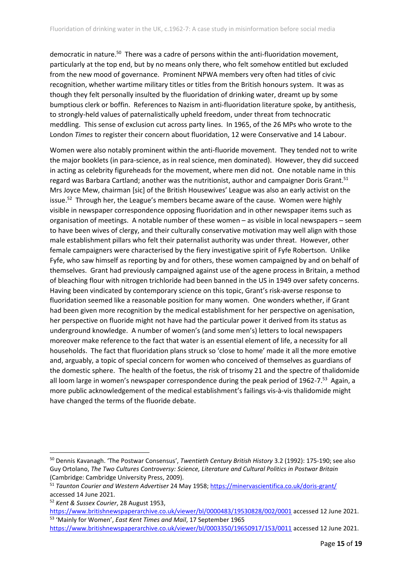democratic in nature.<sup>50</sup> There was a cadre of persons within the anti-fluoridation movement, particularly at the top end, but by no means only there, who felt somehow entitled but excluded from the new mood of governance. Prominent NPWA members very often had titles of civic recognition, whether wartime military titles or titles from the British honours system. It was as though they felt personally insulted by the fluoridation of drinking water, dreamt up by some bumptious clerk or boffin. References to Nazism in anti-fluoridation literature spoke, by antithesis, to strongly-held values of paternalistically upheld freedom, under threat from technocratic meddling. This sense of exclusion cut across party lines. In 1965, of the 26 MPs who wrote to the London *Times* to register their concern about fluoridation, 12 were Conservative and 14 Labour.

Women were also notably prominent within the anti-fluoride movement. They tended not to write the major booklets (in para-science, as in real science, men dominated). However, they did succeed in acting as celebrity figureheads for the movement, where men did not. One notable name in this regard was Barbara Cartland; another was the nutritionist, author and campaigner Doris Grant.<sup>51</sup> Mrs Joyce Mew, chairman [sic] of the British Housewives' League was also an early activist on the issue.<sup>52</sup> Through her, the League's members became aware of the cause. Women were highly visible in newspaper correspondence opposing fluoridation and in other newspaper items such as organisation of meetings. A notable number of these women – as visible in local newspapers – seem to have been wives of clergy, and their culturally conservative motivation may well align with those male establishment pillars who felt their paternalist authority was under threat. However, other female campaigners were characterised by the fiery investigative spirit of Fyfe Robertson. Unlike Fyfe, who saw himself as reporting by and for others, these women campaigned by and on behalf of themselves. Grant had previously campaigned against use of the agene process in Britain, a method of bleaching flour with nitrogen trichloride had been banned in the US in 1949 over safety concerns. Having been vindicated by contemporary science on this topic, Grant's risk-averse response to fluoridation seemed like a reasonable position for many women. One wonders whether, if Grant had been given more recognition by the medical establishment for her perspective on agenisation, her perspective on fluoride might not have had the particular power it derived from its status as underground knowledge. A number of women's (and some men's) letters to local newspapers moreover make reference to the fact that water is an essential element of life, a necessity for all households. The fact that fluoridation plans struck so 'close to home' made it all the more emotive and, arguably, a topic of special concern for women who conceived of themselves as guardians of the domestic sphere. The health of the foetus, the risk of trisomy 21 and the spectre of thalidomide all loom large in women's newspaper correspondence during the peak period of 1962-7.<sup>53</sup> Again, a more public acknowledgement of the medical establishment's failings vis-à-vis thalidomide might have changed the terms of the fluoride debate.

<sup>50</sup> Dennis Kavanagh. 'The Postwar Consensus', *Twentieth Century British History* 3.2 (1992): 175-190; see also Guy Ortolano, *The Two Cultures Controversy: Science, Literature and Cultural Politics in Postwar Britain* (Cambridge: Cambridge University Press, 2009).

<sup>51</sup> *Taunton Courier and Western Advertiser* 24 May 1958;<https://minervascientifica.co.uk/doris-grant/> accessed 14 June 2021.

<sup>52</sup> *Kent & Sussex Courier*, 28 August 1953,

<https://www.britishnewspaperarchive.co.uk/viewer/bl/0000483/19530828/002/0001> accessed 12 June 2021. 53 'Mainly for Women', *East Kent Times and Mail*, 17 September 1965

<https://www.britishnewspaperarchive.co.uk/viewer/bl/0003350/19650917/153/0011> accessed 12 June 2021.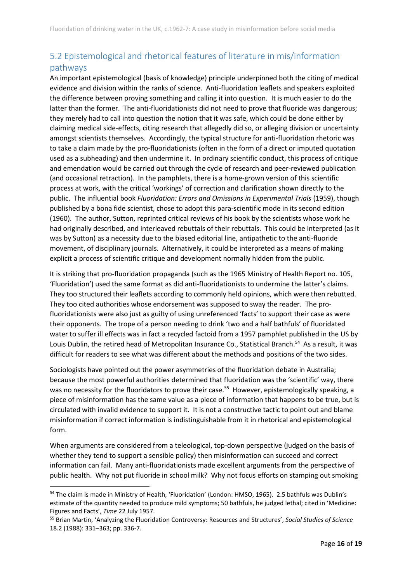## <span id="page-16-0"></span>5.2 Epistemological and rhetorical features of literature in mis/information pathways

An important epistemological (basis of knowledge) principle underpinned both the citing of medical evidence and division within the ranks of science. Anti-fluoridation leaflets and speakers exploited the difference between proving something and calling it into question. It is much easier to do the latter than the former. The anti-fluoridationists did not need to prove that fluoride was dangerous; they merely had to call into question the notion that it was safe, which could be done either by claiming medical side-effects, citing research that allegedly did so, or alleging division or uncertainty amongst scientists themselves. Accordingly, the typical structure for anti-fluoridation rhetoric was to take a claim made by the pro-fluoridationists (often in the form of a direct or imputed quotation used as a subheading) and then undermine it. In ordinary scientific conduct, this process of critique and emendation would be carried out through the cycle of research and peer-reviewed publication (and occasional retraction). In the pamphlets, there is a home-grown version of this scientific process at work, with the critical 'workings' of correction and clarification shown directly to the public. The influential book *Fluoridation: Errors and Omissions in Experimental Trials* (1959), though published by a bona fide scientist, chose to adopt this para-scientific mode in its second edition (1960). The author, Sutton, reprinted critical reviews of his book by the scientists whose work he had originally described, and interleaved rebuttals of their rebuttals. This could be interpreted (as it was by Sutton) as a necessity due to the biased editorial line, antipathetic to the anti-fluoride movement, of disciplinary journals. Alternatively, it could be interpreted as a means of making explicit a process of scientific critique and development normally hidden from the public.

It is striking that pro-fluoridation propaganda (such as the 1965 Ministry of Health Report no. 105, 'Fluoridation') used the same format as did anti-fluoridationists to undermine the latter's claims. They too structured their leaflets according to commonly held opinions, which were then rebutted. They too cited authorities whose endorsement was supposed to sway the reader. The profluoridationists were also just as guilty of using unreferenced 'facts' to support their case as were their opponents. The trope of a person needing to drink 'two and a half bathfuls' of fluoridated water to suffer ill effects was in fact a recycled factoid from a 1957 pamphlet published in the US by Louis Dublin, the retired head of Metropolitan Insurance Co., Statistical Branch.<sup>54</sup> As a result, it was difficult for readers to see what was different about the methods and positions of the two sides.

Sociologists have pointed out the power asymmetries of the fluoridation debate in Australia; because the most powerful authorities determined that fluoridation was the 'scientific' way, there was no necessity for the fluoridators to prove their case.<sup>55</sup> However, epistemologically speaking, a piece of misinformation has the same value as a piece of information that happens to be true, but is circulated with invalid evidence to support it. It is not a constructive tactic to point out and blame misinformation if correct information is indistinguishable from it in rhetorical and epistemological form.

When arguments are considered from a teleological, top-down perspective (judged on the basis of whether they tend to support a sensible policy) then misinformation can succeed and correct information can fail. Many anti-fluoridationists made excellent arguments from the perspective of public health. Why not put fluoride in school milk? Why not focus efforts on stamping out smoking

<sup>54</sup> The claim is made in Ministry of Health, 'Fluoridation' (London: HMSO, 1965). 2.5 bathfuls was Dublin's estimate of the quantity needed to produce mild symptoms; 50 bathfuls, he judged lethal; cited in 'Medicine: Figures and Facts', *Time* 22 July 1957.

<sup>55</sup> Brian Martin, 'Analyzing the Fluoridation Controversy: Resources and Structures', *Social Studies of Science* 18.2 (1988): 331–363; pp. 336-7.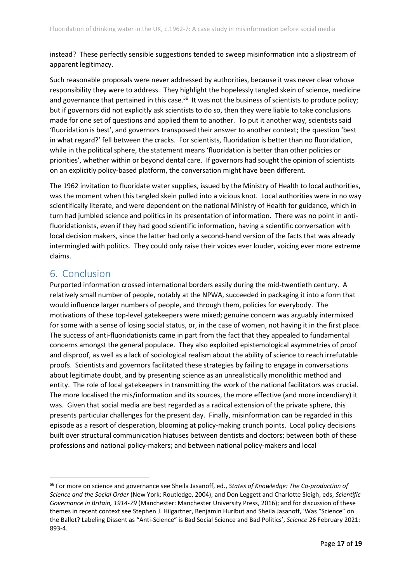instead? These perfectly sensible suggestions tended to sweep misinformation into a slipstream of apparent legitimacy.

Such reasonable proposals were never addressed by authorities, because it was never clear whose responsibility they were to address. They highlight the hopelessly tangled skein of science, medicine and governance that pertained in this case.<sup>56</sup> It was not the business of scientists to produce policy; but if governors did not explicitly ask scientists to do so, then they were liable to take conclusions made for one set of questions and applied them to another. To put it another way, scientists said 'fluoridation is best', and governors transposed their answer to another context; the question 'best in what regard?' fell between the cracks. For scientists, fluoridation is better than no fluoridation, while in the political sphere, the statement means 'fluoridation is better than other policies or priorities', whether within or beyond dental care. If governors had sought the opinion of scientists on an explicitly policy-based platform, the conversation might have been different.

The 1962 invitation to fluoridate water supplies, issued by the Ministry of Health to local authorities, was the moment when this tangled skein pulled into a vicious knot. Local authorities were in no way scientifically literate, and were dependent on the national Ministry of Health for guidance, which in turn had jumbled science and politics in its presentation of information. There was no point in antifluoridationists, even if they had good scientific information, having a scientific conversation with local decision makers, since the latter had only a second-hand version of the facts that was already intermingled with politics. They could only raise their voices ever louder, voicing ever more extreme claims.

## <span id="page-17-0"></span>6. Conclusion

Purported information crossed international borders easily during the mid-twentieth century. A relatively small number of people, notably at the NPWA, succeeded in packaging it into a form that would influence larger numbers of people, and through them, policies for everybody. The motivations of these top-level gatekeepers were mixed; genuine concern was arguably intermixed for some with a sense of losing social status, or, in the case of women, not having it in the first place. The success of anti-fluoridationists came in part from the fact that they appealed to fundamental concerns amongst the general populace. They also exploited epistemological asymmetries of proof and disproof, as well as a lack of sociological realism about the ability of science to reach irrefutable proofs. Scientists and governors facilitated these strategies by failing to engage in conversations about legitimate doubt, and by presenting science as an unrealistically monolithic method and entity. The role of local gatekeepers in transmitting the work of the national facilitators was crucial. The more localised the mis/information and its sources, the more effective (and more incendiary) it was. Given that social media are best regarded as a radical extension of the private sphere, this presents particular challenges for the present day. Finally, misinformation can be regarded in this episode as a resort of desperation, blooming at policy-making crunch points. Local policy decisions built over structural communication hiatuses between dentists and doctors; between both of these professions and national policy-makers; and between national policy-makers and local

<sup>56</sup> For more on science and governance see Sheila Jasanoff, ed., *States of Knowledge: The Co-production of Science and the Social Order* (New York: Routledge, 2004); and Don Leggett and Charlotte Sleigh, eds, *Scientific Governance in Britain, 1914-79* (Manchester: Manchester University Press, 2016); and for discussion of these themes in recent context see Stephen J. Hilgartner, Benjamin Hurlbut and Sheila Jasanoff, 'Was "Science" on the Ballot? Labeling Dissent as "Anti-Science" is Bad Social Science and Bad Politics', *Science* 26 February 2021: 893-4.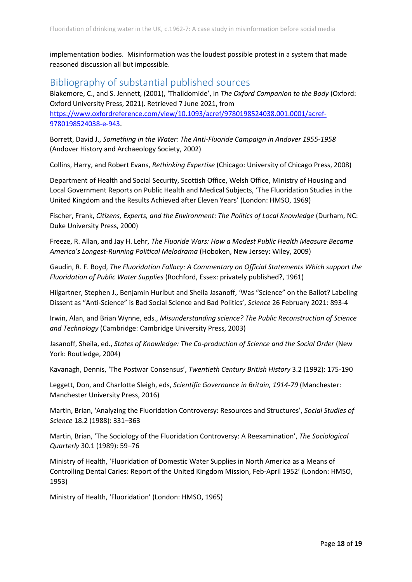implementation bodies. Misinformation was the loudest possible protest in a system that made reasoned discussion all but impossible.

### <span id="page-18-0"></span>Bibliography of substantial published sources

Blakemore, C., and S. Jennett, (2001), 'Thalidomide', in *The Oxford Companion to the Body* (Oxford: Oxford University Press, 2021). Retrieved 7 June 2021, from [https://www.oxfordreference.com/view/10.1093/acref/9780198524038.001.0001/acref-](https://www.oxfordreference.com/view/10.1093/acref/9780198524038.001.0001/acref-9780198524038-e-943)[9780198524038-e-943.](https://www.oxfordreference.com/view/10.1093/acref/9780198524038.001.0001/acref-9780198524038-e-943)

Borrett, David J., *Something in the Water: The Anti-Fluoride Campaign in Andover 1955-1958* (Andover History and Archaeology Society, 2002)

Collins, Harry, and Robert Evans, *Rethinking Expertise* (Chicago: University of Chicago Press, 2008)

Department of Health and Social Security, Scottish Office, Welsh Office, Ministry of Housing and Local Government Reports on Public Health and Medical Subjects, 'The Fluoridation Studies in the United Kingdom and the Results Achieved after Eleven Years' (London: HMSO, 1969)

Fischer, Frank, *Citizens, Experts, and the Environment: The Politics of Local Knowledge* (Durham, NC: Duke University Press, 2000)

Freeze, R. Allan, and Jay H. Lehr, *The Fluoride Wars: How a Modest Public Health Measure Became America's Longest-Running Political Melodrama* (Hoboken, New Jersey: Wiley, 2009)

Gaudin, R. F. Boyd, *The Fluoridation Fallacy: A Commentary on Official Statements Which support the Fluoridation of Public Water Supplies* (Rochford, Essex: privately published?, 1961)

Hilgartner, Stephen J., Benjamin Hurlbut and Sheila Jasanoff, 'Was "Science" on the Ballot? Labeling Dissent as "Anti-Science" is Bad Social Science and Bad Politics', *Science* 26 February 2021: 893-4

Irwin, Alan, and Brian Wynne, eds., *Misunderstanding science? The Public Reconstruction of Science and Technology* (Cambridge: Cambridge University Press, 2003)

Jasanoff, Sheila, ed., *States of Knowledge: The Co-production of Science and the Social Order* (New York: Routledge, 2004)

Kavanagh, Dennis, 'The Postwar Consensus', *Twentieth Century British History* 3.2 (1992): 175-190

Leggett, Don, and Charlotte Sleigh, eds, *Scientific Governance in Britain, 1914-79* (Manchester: Manchester University Press, 2016)

Martin, Brian, 'Analyzing the Fluoridation Controversy: Resources and Structures', *Social Studies of Science* 18.2 (1988): 331–363

Martin, Brian, 'The Sociology of the Fluoridation Controversy: A Reexamination', *The Sociological Quarterly* 30.1 (1989): 59–76

Ministry of Health, 'Fluoridation of Domestic Water Supplies in North America as a Means of Controlling Dental Caries: Report of the United Kingdom Mission, Feb-April 1952' (London: HMSO, 1953)

Ministry of Health, 'Fluoridation' (London: HMSO, 1965)